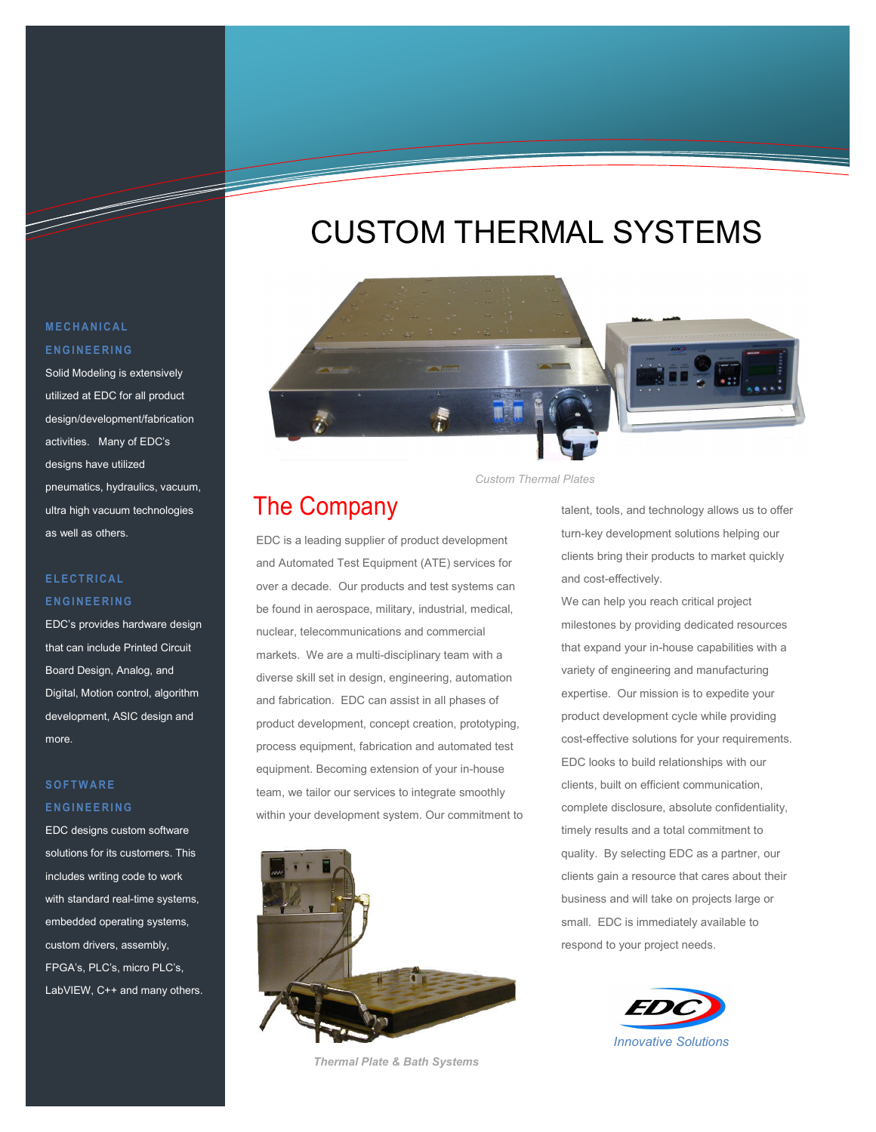# CUSTOM THERMAL SYSTEMS



*Custom Thermal Plates* 

## The Company

EDC is a leading supplier of product development and Automated Test Equipment (ATE) services for over a decade. Our products and test systems can be found in aerospace, military, industrial, medical, nuclear, telecommunications and commercial markets. We are a multi-disciplinary team with a diverse skill set in design, engineering, automation and fabrication. EDC can assist in all phases of product development, concept creation, prototyping, process equipment, fabrication and automated test equipment. Becoming extension of your in-house team, we tailor our services to integrate smoothly within your development system. Our commitment to



*Thermal Plate & Bath Systems* 

talent, tools, and technology allows us to offer turn-key development solutions helping our clients bring their products to market quickly and cost-effectively.

We can help you reach critical project milestones by providing dedicated resources that expand your in-house capabilities with a variety of engineering and manufacturing expertise. Our mission is to expedite your product development cycle while providing cost-effective solutions for your requirements. EDC looks to build relationships with our clients, built on efficient communication, complete disclosure, absolute confidentiality, timely results and a total commitment to quality. By selecting EDC as a partner, our clients gain a resource that cares about their business and will take on projects large or small. EDC is immediately available to respond to your project needs.



#### **M E C H A N I C A L E N G I N E E R I N G**

T

Solid Modeling is extensively utilized at EDC for all product design/development/fabrication activities. Many of EDC's designs have utilized pneumatics, hydraulics, vacuum, ultra high vacuum technologies as well as others.

#### **E L E C T R I C A L E N G I N E E R I N G**

EDC's provides hardware design that can include Printed Circuit Board Design, Analog, and Digital, Motion control, algorithm development, ASIC design and more.

#### **S O F T W A R E E N G I N E E R I N G**

EDC designs custom software solutions for its customers. This includes writing code to work with standard real-time systems, embedded operating systems, custom drivers, assembly, FPGA's, PLC's, micro PLC's, LabVIEW, C++ and many others.